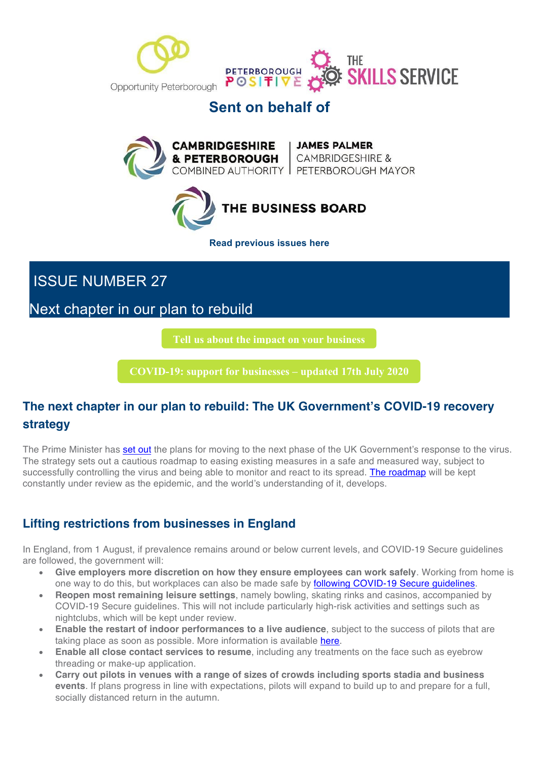



## **Sent on behalf of**





**Read previous issues here**

ISSUE NUMBER 27

Next chapter in our plan to rebuild

**Tell us about the impact on your business**

**COVID-19: support for businesses – updated 17th July 2020**

## **The next chapter in our plan to rebuild: The UK Government's COVID-19 recovery strategy**

The Prime Minister has **set out** the plans for moving to the next phase of the UK Government's response to the virus. The strategy sets out a cautious roadmap to easing existing measures in a safe and measured way, subject to successfully controlling the virus and being able to monitor and react to its spread. The roadmap will be kept constantly under review as the epidemic, and the world's understanding of it, develops.

## **Lifting restrictions from businesses in England**

In England, from 1 August, if prevalence remains around or below current levels, and COVID-19 Secure guidelines are followed, the government will:

- **Give employers more discretion on how they ensure employees can work safely**. Working from home is one way to do this, but workplaces can also be made safe by following COVID-19 Secure guidelines.
- **Reopen most remaining leisure settings**, namely bowling, skating rinks and casinos, accompanied by COVID-19 Secure guidelines. This will not include particularly high-risk activities and settings such as nightclubs, which will be kept under review.
- **Enable the restart of indoor performances to a live audience**, subject to the success of pilots that are taking place as soon as possible. More information is available here.
- **Enable all close contact services to resume**, including any treatments on the face such as eyebrow threading or make-up application.
- **Carry out pilots in venues with a range of sizes of crowds including sports stadia and business events**. If plans progress in line with expectations, pilots will expand to build up to and prepare for a full, socially distanced return in the autumn.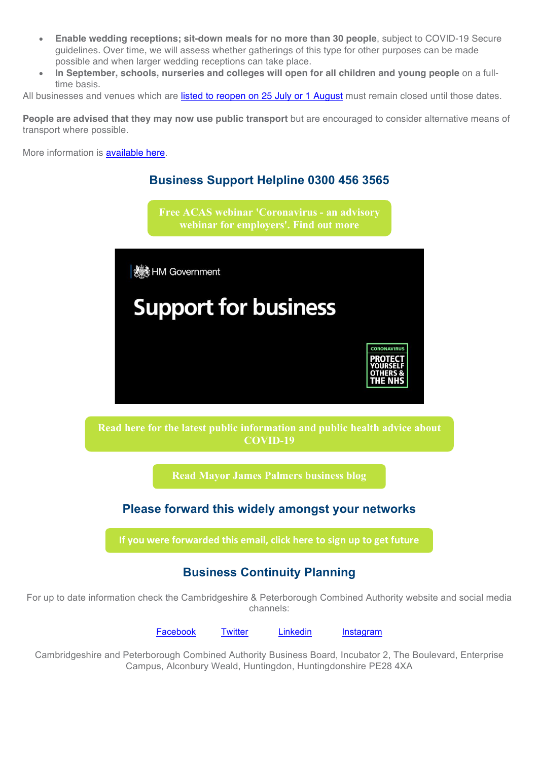- **Enable wedding receptions; sit-down meals for no more than 30 people**, subject to COVID-19 Secure guidelines. Over time, we will assess whether gatherings of this type for other purposes can be made possible and when larger wedding receptions can take place.
- **In September, schools, nurseries and colleges will open for all children and young people** on a fulltime basis.

All businesses and venues which are listed to reopen on 25 July or 1 August must remain closed until those dates.

**People are advised that they may now use public transport** but are encouraged to consider alternative means of transport where possible.

More information is available here.



For up to date information check the Cambridgeshire & Peterborough Combined Authority website and social media channels:

Facebook Twitter Linkedin Instagram

Cambridgeshire and Peterborough Combined Authority Business Board, Incubator 2, The Boulevard, Enterprise Campus, Alconbury Weald, Huntingdon, Huntingdonshire PE28 4XA